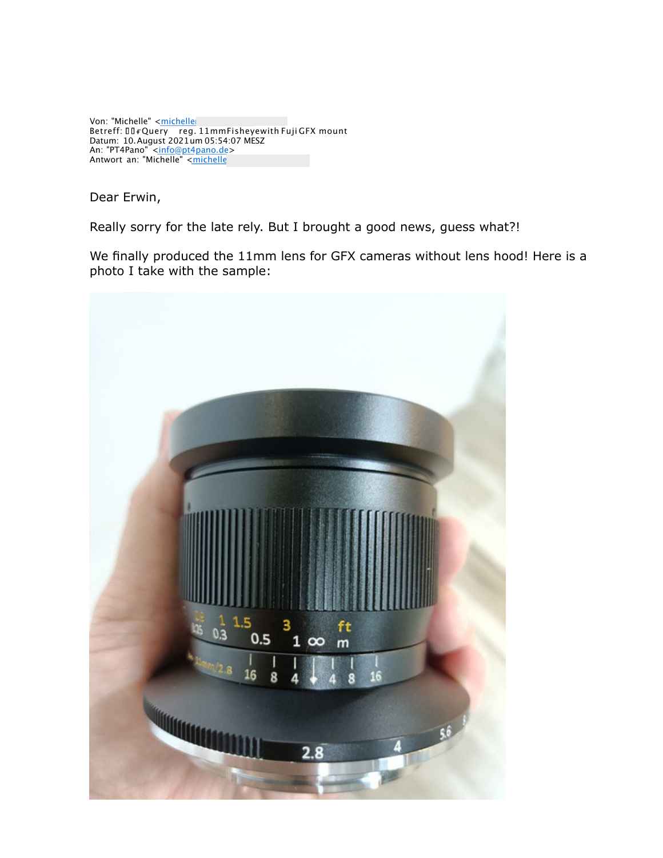Von: "Michelle" <<u>michelle</u>@ttartisan.com Betreff: Query reg. 11mmFisheyewith Fuji GFX mount Datum: 10.August 2021um 05:54:07 MESZ An: "PT4Pano" <<u>info@pt4pano.de</u>> Antwort an: "Michelle" <michelle@ttartisan.com>

Dear Erwin,

Really sorry for the late rely. But I brought a good news, guess what?!

We finally produced the 11mm lens for GFX cameras without lens hood! Here is a photo I take with the sample:

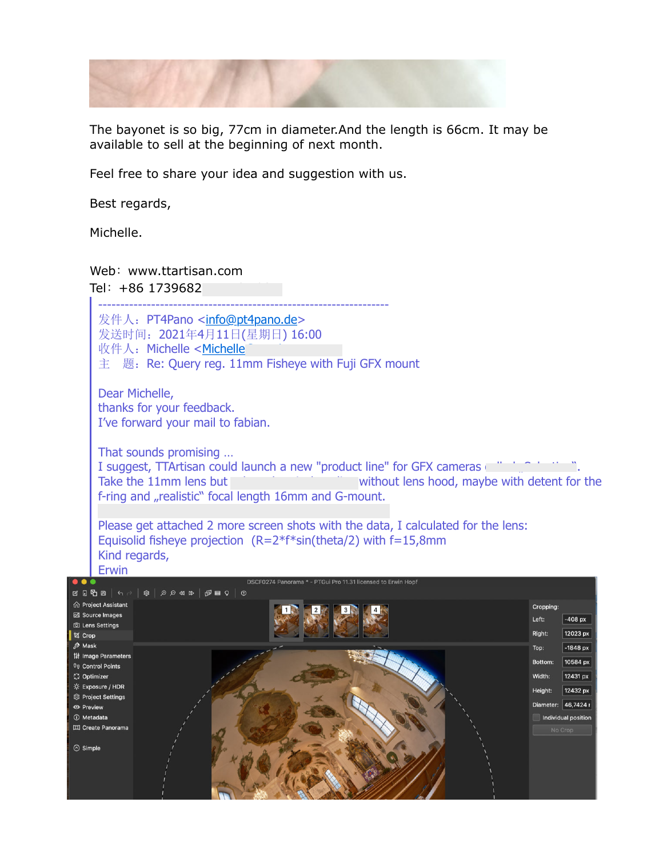

The bayonet is so big, 77cm in diameter.And the length is 66cm. It may be available to sell at the beginning of next month.

Feel free to share your idea and suggestion with us.

Best regards,

Michelle.

## Web:www.ttartisan.com